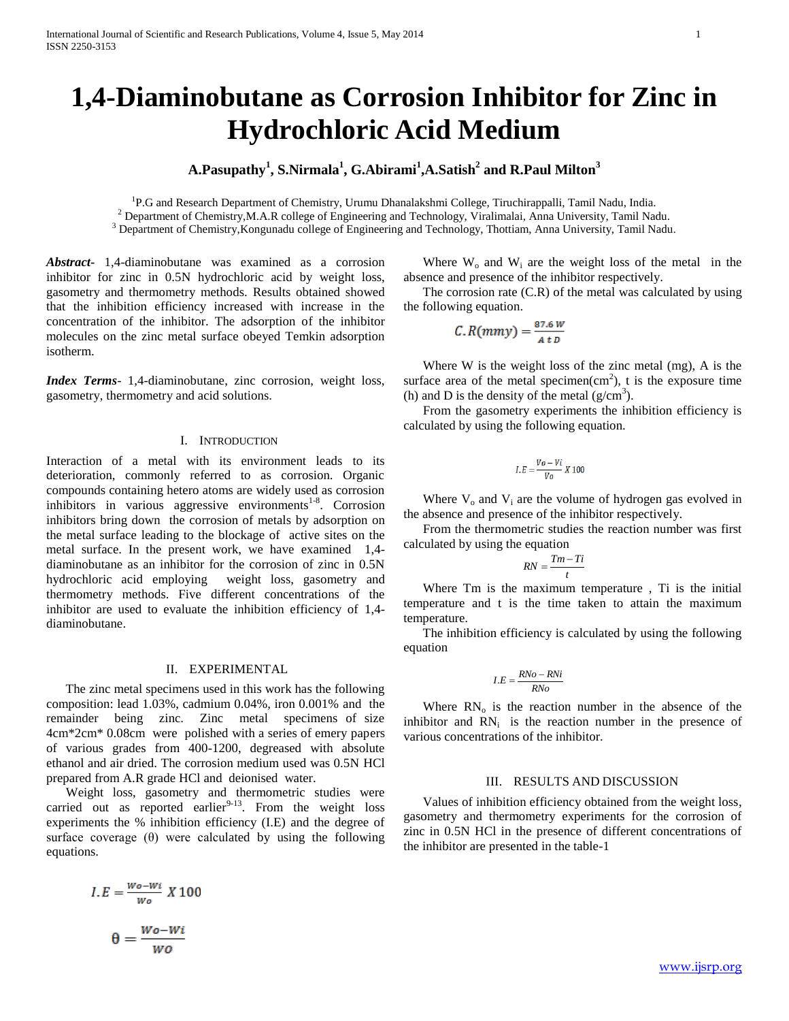# **1,4-Diaminobutane as Corrosion Inhibitor for Zinc in Hydrochloric Acid Medium**

# **A.Pasupathy<sup>1</sup> , S.Nirmala<sup>1</sup> , G.Abirami<sup>1</sup> ,A.Satish<sup>2</sup> and R.Paul Milton<sup>3</sup>**

<sup>1</sup>P.G and Research Department of Chemistry, Urumu Dhanalakshmi College, Tiruchirappalli, Tamil Nadu, India. <sup>2</sup> Department of Chemistry,M.A.R college of Engineering and Technology, Viralimalai, Anna University, Tamil Nadu.

<sup>3</sup> Department of Chemistry, Kongunadu college of Engineering and Technology, Thottiam, Anna University, Tamil Nadu.

*Abstract***-** 1,4-diaminobutane was examined as a corrosion inhibitor for zinc in 0.5N hydrochloric acid by weight loss, gasometry and thermometry methods. Results obtained showed that the inhibition efficiency increased with increase in the concentration of the inhibitor. The adsorption of the inhibitor molecules on the zinc metal surface obeyed Temkin adsorption isotherm.

*Index Terms*- 1,4-diaminobutane, zinc corrosion, weight loss, gasometry, thermometry and acid solutions.

# I. INTRODUCTION

Interaction of a metal with its environment leads to its deterioration, commonly referred to as corrosion. Organic compounds containing hetero atoms are widely used as corrosion inhibitors in various aggressive environments<sup>1-8</sup>. Corrosion inhibitors bring down the corrosion of metals by adsorption on the metal surface leading to the blockage of active sites on the metal surface. In the present work, we have examined 1,4 diaminobutane as an inhibitor for the corrosion of zinc in 0.5N hydrochloric acid employing weight loss, gasometry and thermometry methods. Five different concentrations of the inhibitor are used to evaluate the inhibition efficiency of 1,4 diaminobutane.

## II. EXPERIMENTAL

 The zinc metal specimens used in this work has the following composition: lead 1.03%, cadmium 0.04%, iron 0.001% and the remainder being zinc. Zinc metal specimens of size 4cm\*2cm\* 0.08cm were polished with a series of emery papers of various grades from 400-1200, degreased with absolute ethanol and air dried. The corrosion medium used was 0.5N HCl prepared from A.R grade HCl and deionised water.

 Weight loss, gasometry and thermometric studies were carried out as reported earlier $9-13$ . From the weight loss experiments the % inhibition efficiency (I.E) and the degree of surface coverage (θ) were calculated by using the following equations.

$$
I.E = \frac{w_0 - w_i}{w_0} X 100
$$

$$
\theta = \frac{w_0 - w_i}{w_0}
$$

Where  $W_0$  and  $W_i$  are the weight loss of the metal in the absence and presence of the inhibitor respectively.

 The corrosion rate (C.R) of the metal was calculated by using the following equation.

$$
C.R(mmy) = \frac{87.6 W}{4 t D}
$$

 Where W is the weight loss of the zinc metal (mg), A is the surface area of the metal specimen $(cm<sup>2</sup>)$ , t is the exposure time (h) and D is the density of the metal  $(g/cm<sup>3</sup>)$ .

 From the gasometry experiments the inhibition efficiency is calculated by using the following equation.

$$
I.E = \frac{V_o - Vi}{V_o} X 100
$$

Where  $V_0$  and  $V_i$  are the volume of hydrogen gas evolved in the absence and presence of the inhibitor respectively.

 From the thermometric studies the reaction number was first calculated by using the equation

$$
RN = \frac{Tm - Ti}{t}
$$

 Where Tm is the maximum temperature , Ti is the initial temperature and t is the time taken to attain the maximum temperature.

 The inhibition efficiency is calculated by using the following equation

$$
I.E = \frac{RNo - RNi}{RNo}
$$

Where  $RN_{0}$  is the reaction number in the absence of the inhibitor and  $RN_i$  is the reaction number in the presence of various concentrations of the inhibitor.

#### III. RESULTS AND DISCUSSION

 Values of inhibition efficiency obtained from the weight loss, gasometry and thermometry experiments for the corrosion of zinc in 0.5N HCl in the presence of different concentrations of the inhibitor are presented in the table-1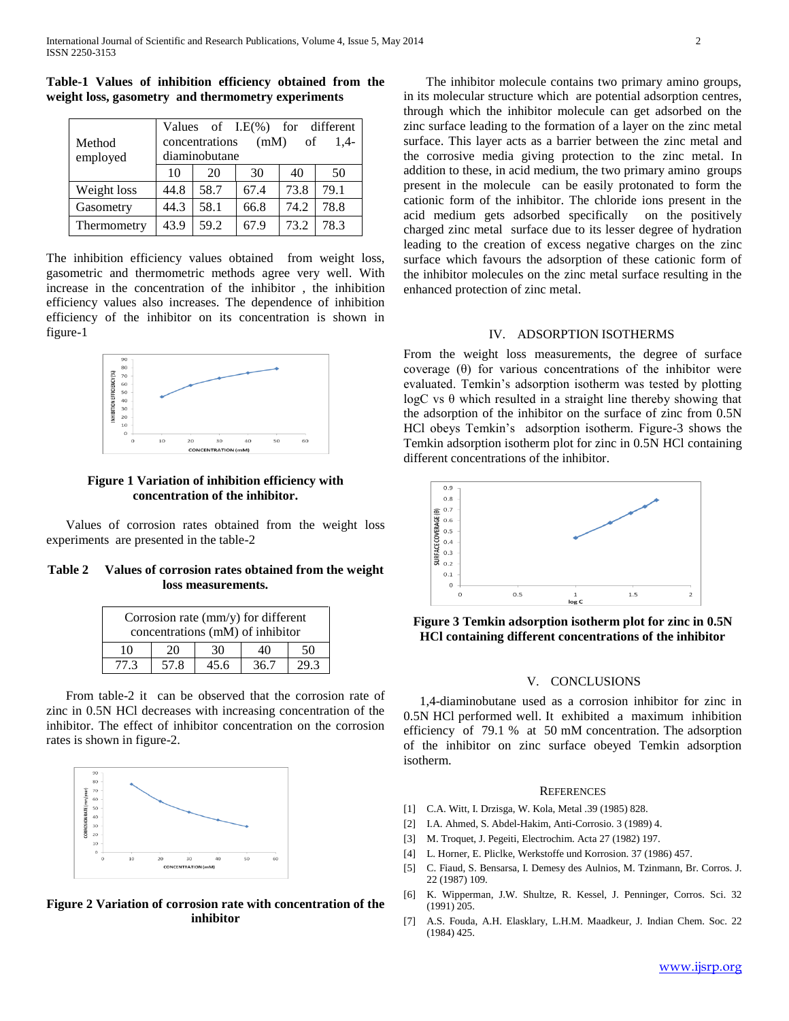| Method<br>employed | Values of I.E(%) for different<br>(mM)<br>concentrations<br>of<br>$1.4-$<br>diaminobutane |      |      |      |      |  |
|--------------------|-------------------------------------------------------------------------------------------|------|------|------|------|--|
|                    | 10                                                                                        | 20   | 30   | 40   | 50   |  |
| Weight loss        | 44.8                                                                                      | 58.7 | 67.4 | 73.8 | 79.1 |  |
| Gasometry          | 44.3                                                                                      | 58.1 | 66.8 | 74.2 | 78.8 |  |
| Thermometry        | 43.9                                                                                      | 59.2 | 67.9 | 73.2 | 78.3 |  |

**Table-1 Values of inhibition efficiency obtained from the weight loss, gasometry and thermometry experiments** 

The inhibition efficiency values obtained from weight loss, gasometric and thermometric methods agree very well. With increase in the concentration of the inhibitor , the inhibition efficiency values also increases. The dependence of inhibition efficiency of the inhibitor on its concentration is shown in figure-1



**Figure 1 Variation of inhibition efficiency with concentration of the inhibitor.**

 Values of corrosion rates obtained from the weight loss experiments are presented in the table-2

**Table 2 Values of corrosion rates obtained from the weight loss measurements.**

| Corrosion rate $\text{(mm/y)}$ for different<br>concentrations (mM) of inhibitor |      |      |      |    |  |  |  |
|----------------------------------------------------------------------------------|------|------|------|----|--|--|--|
| 10                                                                               | 20   | 30   | 40   | 50 |  |  |  |
| 77 3                                                                             | 57.8 | 45.6 | 36.7 |    |  |  |  |

 From table-2 it can be observed that the corrosion rate of zinc in 0.5N HCl decreases with increasing concentration of the inhibitor. The effect of inhibitor concentration on the corrosion rates is shown in figure-2.



**Figure 2 Variation of corrosion rate with concentration of the inhibitor**

 The inhibitor molecule contains two primary amino groups, in its molecular structure which are potential adsorption centres, through which the inhibitor molecule can get adsorbed on the zinc surface leading to the formation of a layer on the zinc metal surface. This layer acts as a barrier between the zinc metal and the corrosive media giving protection to the zinc metal. In addition to these, in acid medium, the two primary amino groups present in the molecule can be easily protonated to form the cationic form of the inhibitor. The chloride ions present in the acid medium gets adsorbed specifically on the positively charged zinc metal surface due to its lesser degree of hydration leading to the creation of excess negative charges on the zinc surface which favours the adsorption of these cationic form of the inhibitor molecules on the zinc metal surface resulting in the enhanced protection of zinc metal.

# IV. ADSORPTION ISOTHERMS

From the weight loss measurements, the degree of surface coverage (θ) for various concentrations of the inhibitor were evaluated. Temkin's adsorption isotherm was tested by plotting  $logC$  vs  $\theta$  which resulted in a straight line thereby showing that the adsorption of the inhibitor on the surface of zinc from 0.5N HCl obeys Temkin's adsorption isotherm. Figure-3 shows the Temkin adsorption isotherm plot for zinc in 0.5N HCl containing different concentrations of the inhibitor.



**Figure 3 Temkin adsorption isotherm plot for zinc in 0.5N HCl containing different concentrations of the inhibitor**

## V. CONCLUSIONS

 1,4-diaminobutane used as a corrosion inhibitor for zinc in 0.5N HCl performed well. It exhibited a maximum inhibition efficiency of 79.1 % at 50 mM concentration. The adsorption of the inhibitor on zinc surface obeyed Temkin adsorption isotherm.

#### **REFERENCES**

- [1] C.A. Witt, I. Drzisga, W. Kola, Metal .39 (1985) 828.
- [2] I.A. Ahmed, S. Abdel-Hakim, Anti-Corrosio. 3 (1989) 4.
- [3] M. Troquet, J. Pegeiti, Electrochim. Acta 27 (1982) 197.
- [4] L. Horner, E. Pliclke, Werkstoffe und Korrosion. 37 (1986) 457.
- [5] C. Fiaud, S. Bensarsa, I. Demesy des Aulnios, M. Tzinmann, Br. Corros. J. 22 (1987) 109.
- [6] K. Wipperman, J.W. Shultze, R. Kessel, J. Penninger, Corros. Sci. 32 (1991) 205.
- [7] A.S. Fouda, A.H. Elasklary, L.H.M. Maadkeur, J. Indian Chem. Soc. 22 (1984) 425.